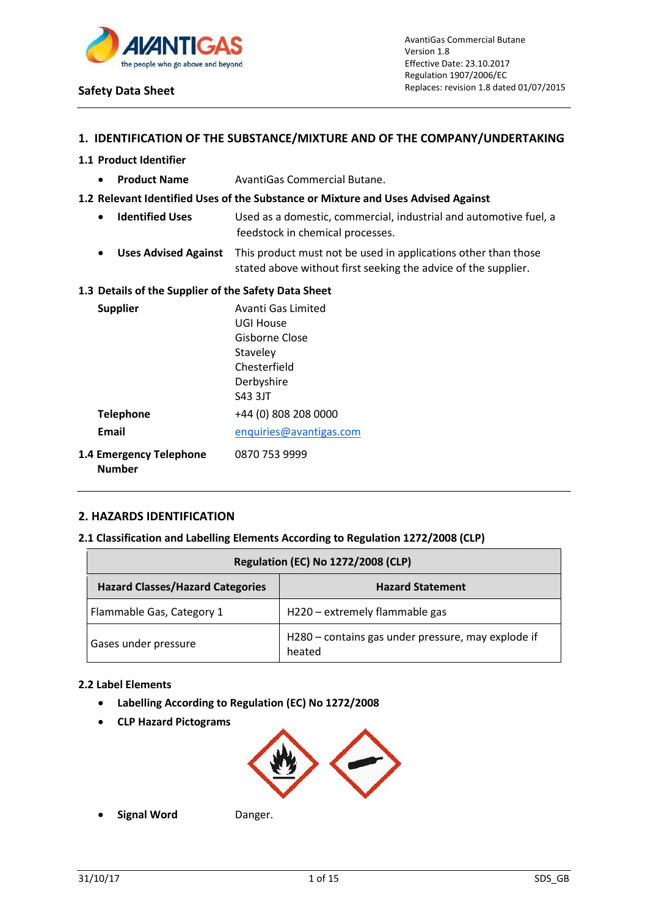

## **1. IDENTIFICATION OF THE SUBSTANCE/MIXTURE AND OF THE COMPANY/UNDERTAKING**

### **1.1 Product Identifier**

**• Product Name** AvantiGas Commercial Butane.

### **1.2 Relevant Identified Uses of the Substance or Mixture and Uses Advised Against**

- **Identified Uses** Used as a domestic, commercial, industrial and automotive fuel, a feedstock in chemical processes.
- **Uses Advised Against** This product must not be used in applications other than those stated above without first seeking the advice of the supplier.

#### **1.3 Details of the Supplier of the Safety Data Sheet**

| <b>Supplier</b>                                 | Avanti Gas Limited      |
|-------------------------------------------------|-------------------------|
|                                                 | UGI House               |
|                                                 | Gisborne Close          |
|                                                 | Staveley                |
|                                                 | Chesterfield            |
|                                                 | Derbyshire              |
|                                                 | S43 3JT                 |
| <b>Telephone</b>                                | +44 (0) 808 208 0000    |
| Email                                           | enquiries@avantigas.com |
| <b>1.4 Emergency Telephone</b><br><b>Number</b> | 0870 753 9999           |

## **2. HAZARDS IDENTIFICATION**

## **2.1 Classification and Labelling Elements According to Regulation 1272/2008 (CLP)**

| <b>Regulation (EC) No 1272/2008 (CLP)</b>                          |                                                              |  |
|--------------------------------------------------------------------|--------------------------------------------------------------|--|
| <b>Hazard Classes/Hazard Categories</b><br><b>Hazard Statement</b> |                                                              |  |
| Flammable Gas, Category 1                                          | H220 – extremely flammable gas                               |  |
| Gases under pressure                                               | H280 - contains gas under pressure, may explode if<br>heated |  |

#### **2.2 Label Elements**

- **Labelling According to Regulation (EC) No 1272/2008**
- **CLP Hazard Pictograms**



**Signal Word** Danger.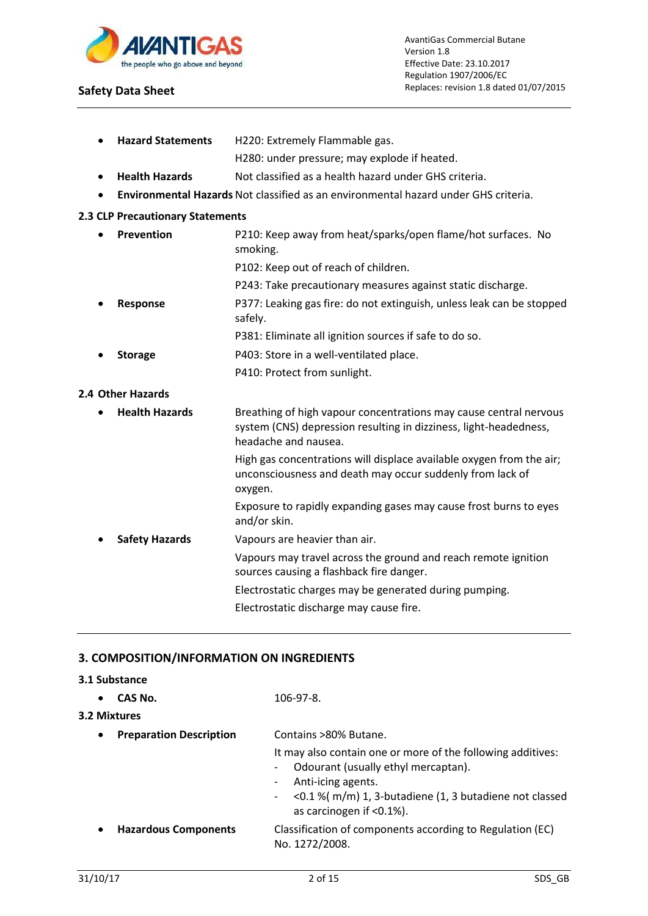

**Hazard Statements** H220: Extremely Flammable gas.

## **Safety Data Sheet**

|           |                                  | H280: under pressure; may explode if heated.                                                                                                                   |  |  |
|-----------|----------------------------------|----------------------------------------------------------------------------------------------------------------------------------------------------------------|--|--|
|           | <b>Health Hazards</b>            | Not classified as a health hazard under GHS criteria.                                                                                                          |  |  |
| $\bullet$ |                                  | Environmental Hazards Not classified as an environmental hazard under GHS criteria.                                                                            |  |  |
|           | 2.3 CLP Precautionary Statements |                                                                                                                                                                |  |  |
|           | Prevention                       | P210: Keep away from heat/sparks/open flame/hot surfaces. No<br>smoking.                                                                                       |  |  |
|           |                                  | P102: Keep out of reach of children.                                                                                                                           |  |  |
|           |                                  | P243: Take precautionary measures against static discharge.                                                                                                    |  |  |
|           | Response                         | P377: Leaking gas fire: do not extinguish, unless leak can be stopped<br>safely.                                                                               |  |  |
|           |                                  | P381: Eliminate all ignition sources if safe to do so.                                                                                                         |  |  |
|           | <b>Storage</b>                   | P403: Store in a well-ventilated place.                                                                                                                        |  |  |
|           |                                  | P410: Protect from sunlight.                                                                                                                                   |  |  |
|           | 2.4 Other Hazards                |                                                                                                                                                                |  |  |
|           | <b>Health Hazards</b>            | Breathing of high vapour concentrations may cause central nervous<br>system (CNS) depression resulting in dizziness, light-headedness,<br>headache and nausea. |  |  |
|           |                                  | High gas concentrations will displace available oxygen from the air;<br>unconsciousness and death may occur suddenly from lack of<br>oxygen.                   |  |  |
|           |                                  | Exposure to rapidly expanding gases may cause frost burns to eyes<br>and/or skin.                                                                              |  |  |
|           | <b>Safety Hazards</b>            | Vapours are heavier than air.                                                                                                                                  |  |  |
|           |                                  |                                                                                                                                                                |  |  |

Vapours may travel across the ground and reach remote ignition sources causing a flashback fire danger.

Electrostatic charges may be generated during pumping.

Electrostatic discharge may cause fire.

## **3. COMPOSITION/INFORMATION ON INGREDIENTS**

## **3.1 Substance**

| CAS No.<br>$\bullet$<br>3.2 Mixtures        | 106-97-8.                                                                                                                                                                                                                                    |  |
|---------------------------------------------|----------------------------------------------------------------------------------------------------------------------------------------------------------------------------------------------------------------------------------------------|--|
| <b>Preparation Description</b><br>$\bullet$ | Contains >80% Butane.<br>It may also contain one or more of the following additives:<br>Odourant (usually ethyl mercaptan).<br>Anti-icing agents.<br><0.1 %(m/m) 1, 3-butadiene (1, 3 butadiene not classed<br>-<br>as carcinogen if <0.1%). |  |
| <b>Hazardous Components</b><br>$\bullet$    | Classification of components according to Regulation (EC)<br>No. 1272/2008.                                                                                                                                                                  |  |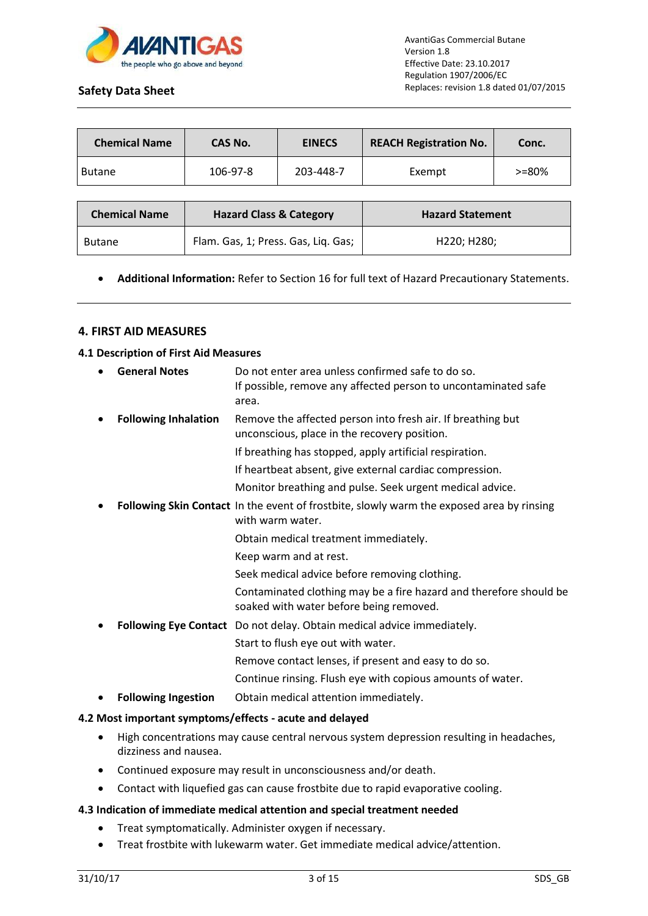

| <b>Chemical Name</b> | CAS No.  | <b>EINECS</b> | <b>REACH Registration No.</b> | Conc.      |
|----------------------|----------|---------------|-------------------------------|------------|
| <b>Butane</b>        | 106-97-8 | 203-448-7     | Exempt                        | $> = 80\%$ |

| <b>Chemical Name</b> | <b>Hazard Class &amp; Category</b>  | <b>Hazard Statement</b>               |
|----------------------|-------------------------------------|---------------------------------------|
| <b>Butane</b>        | Flam. Gas, 1; Press. Gas, Liq. Gas; | H <sub>220</sub> : H <sub>280</sub> : |

## **Additional Information:** Refer to Section 16 for full text of Hazard Precautionary Statements.

## **4. FIRST AID MEASURES**

### **4.1 Description of First Aid Measures**

| <b>Following Inhalation</b><br>Remove the affected person into fresh air. If breathing but<br>٠<br>unconscious, place in the recovery position.<br>If breathing has stopped, apply artificial respiration.<br>If heartbeat absent, give external cardiac compression.<br>Monitor breathing and pulse. Seek urgent medical advice.<br>Following Skin Contact In the event of frostbite, slowly warm the exposed area by rinsing<br>٠<br>with warm water.<br>Obtain medical treatment immediately.<br>Keep warm and at rest.<br>Seek medical advice before removing clothing.<br>soaked with water before being removed.<br>Following Eye Contact Do not delay. Obtain medical advice immediately.<br>٠<br>Start to flush eye out with water.<br>Remove contact lenses, if present and easy to do so.<br>Continue rinsing. Flush eye with copious amounts of water.<br>Obtain medical attention immediately.<br><b>Following Ingestion</b><br>٠ | $\bullet$ | <b>General Notes</b> | Do not enter area unless confirmed safe to do so.<br>If possible, remove any affected person to uncontaminated safe<br>area. |
|-----------------------------------------------------------------------------------------------------------------------------------------------------------------------------------------------------------------------------------------------------------------------------------------------------------------------------------------------------------------------------------------------------------------------------------------------------------------------------------------------------------------------------------------------------------------------------------------------------------------------------------------------------------------------------------------------------------------------------------------------------------------------------------------------------------------------------------------------------------------------------------------------------------------------------------------------|-----------|----------------------|------------------------------------------------------------------------------------------------------------------------------|
|                                                                                                                                                                                                                                                                                                                                                                                                                                                                                                                                                                                                                                                                                                                                                                                                                                                                                                                                               |           |                      |                                                                                                                              |
|                                                                                                                                                                                                                                                                                                                                                                                                                                                                                                                                                                                                                                                                                                                                                                                                                                                                                                                                               |           |                      |                                                                                                                              |
|                                                                                                                                                                                                                                                                                                                                                                                                                                                                                                                                                                                                                                                                                                                                                                                                                                                                                                                                               |           |                      |                                                                                                                              |
|                                                                                                                                                                                                                                                                                                                                                                                                                                                                                                                                                                                                                                                                                                                                                                                                                                                                                                                                               |           |                      |                                                                                                                              |
|                                                                                                                                                                                                                                                                                                                                                                                                                                                                                                                                                                                                                                                                                                                                                                                                                                                                                                                                               |           |                      |                                                                                                                              |
|                                                                                                                                                                                                                                                                                                                                                                                                                                                                                                                                                                                                                                                                                                                                                                                                                                                                                                                                               |           |                      |                                                                                                                              |
|                                                                                                                                                                                                                                                                                                                                                                                                                                                                                                                                                                                                                                                                                                                                                                                                                                                                                                                                               |           |                      |                                                                                                                              |
|                                                                                                                                                                                                                                                                                                                                                                                                                                                                                                                                                                                                                                                                                                                                                                                                                                                                                                                                               |           |                      |                                                                                                                              |
|                                                                                                                                                                                                                                                                                                                                                                                                                                                                                                                                                                                                                                                                                                                                                                                                                                                                                                                                               |           |                      | Contaminated clothing may be a fire hazard and therefore should be                                                           |
|                                                                                                                                                                                                                                                                                                                                                                                                                                                                                                                                                                                                                                                                                                                                                                                                                                                                                                                                               |           |                      |                                                                                                                              |
|                                                                                                                                                                                                                                                                                                                                                                                                                                                                                                                                                                                                                                                                                                                                                                                                                                                                                                                                               |           |                      |                                                                                                                              |
|                                                                                                                                                                                                                                                                                                                                                                                                                                                                                                                                                                                                                                                                                                                                                                                                                                                                                                                                               |           |                      |                                                                                                                              |
|                                                                                                                                                                                                                                                                                                                                                                                                                                                                                                                                                                                                                                                                                                                                                                                                                                                                                                                                               |           |                      |                                                                                                                              |
|                                                                                                                                                                                                                                                                                                                                                                                                                                                                                                                                                                                                                                                                                                                                                                                                                                                                                                                                               |           |                      |                                                                                                                              |

## **4.2 Most important symptoms/effects - acute and delayed**

- High concentrations may cause central nervous system depression resulting in headaches, dizziness and nausea.
- Continued exposure may result in unconsciousness and/or death.
- Contact with liquefied gas can cause frostbite due to rapid evaporative cooling.

## **4.3 Indication of immediate medical attention and special treatment needed**

- Treat symptomatically. Administer oxygen if necessary.
- Treat frostbite with lukewarm water. Get immediate medical advice/attention.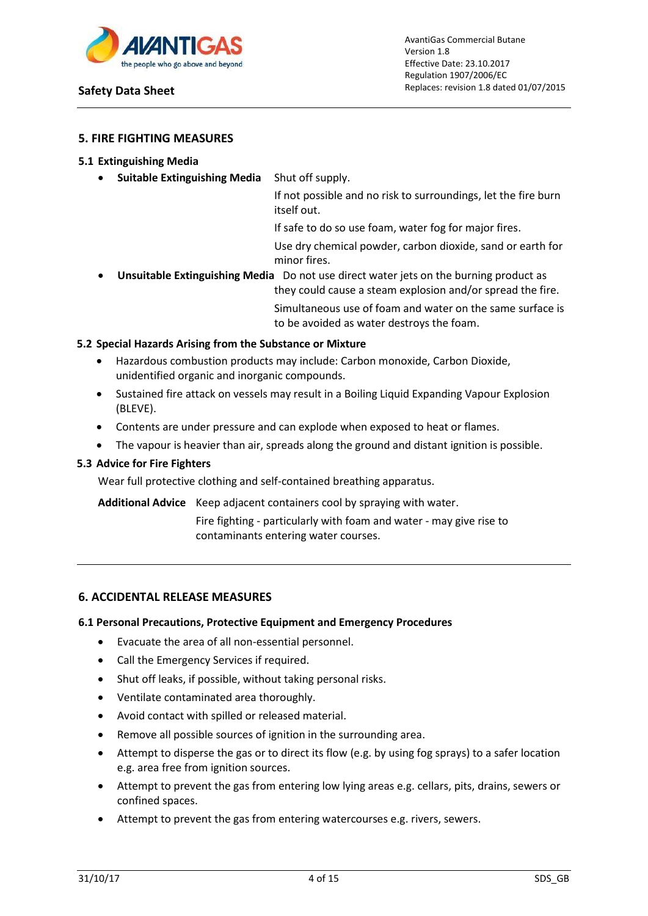

## **5. FIRE FIGHTING MEASURES**

#### **5.1 Extinguishing Media**

**Suitable Extinguishing Media** Shut off supply.

If not possible and no risk to surroundings, let the fire burn itself out.

If safe to do so use foam, water fog for major fires.

Use dry chemical powder, carbon dioxide, sand or earth for minor fires.

 **Unsuitable Extinguishing Media** Do not use direct water jets on the burning product as they could cause a steam explosion and/or spread the fire. Simultaneous use of foam and water on the same surface is to be avoided as water destroys the foam.

## **5.2 Special Hazards Arising from the Substance or Mixture**

- Hazardous combustion products may include: Carbon monoxide, Carbon Dioxide, unidentified organic and inorganic compounds.
- Sustained fire attack on vessels may result in a Boiling Liquid Expanding Vapour Explosion (BLEVE).
- Contents are under pressure and can explode when exposed to heat or flames.
- The vapour is heavier than air, spreads along the ground and distant ignition is possible.

### **5.3 Advice for Fire Fighters**

Wear full protective clothing and self-contained breathing apparatus.

**Additional Advice** Keep adjacent containers cool by spraying with water.

Fire fighting - particularly with foam and water - may give rise to contaminants entering water courses.

## **6. ACCIDENTAL RELEASE MEASURES**

#### **6.1 Personal Precautions, Protective Equipment and Emergency Procedures**

- Evacuate the area of all non-essential personnel.
- Call the Emergency Services if required.
- Shut off leaks, if possible, without taking personal risks.
- Ventilate contaminated area thoroughly.
- Avoid contact with spilled or released material.
- Remove all possible sources of ignition in the surrounding area.
- Attempt to disperse the gas or to direct its flow (e.g. by using fog sprays) to a safer location e.g. area free from ignition sources.
- Attempt to prevent the gas from entering low lying areas e.g. cellars, pits, drains, sewers or confined spaces.
- Attempt to prevent the gas from entering watercourses e.g. rivers, sewers.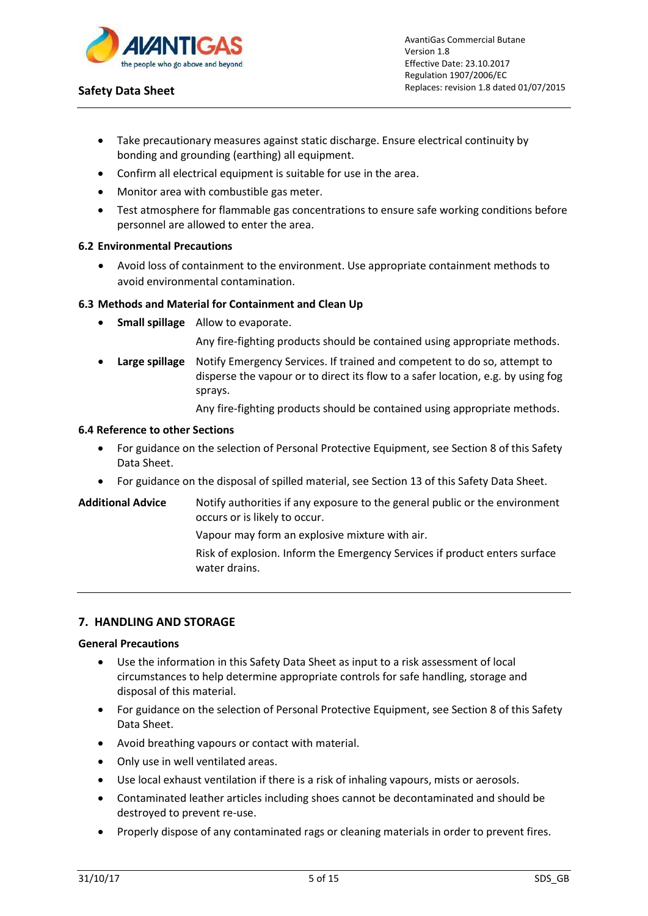

- Take precautionary measures against static discharge. Ensure electrical continuity by bonding and grounding (earthing) all equipment.
- Confirm all electrical equipment is suitable for use in the area.
- Monitor area with combustible gas meter.
- Test atmosphere for flammable gas concentrations to ensure safe working conditions before personnel are allowed to enter the area.

## **6.2 Environmental Precautions**

 Avoid loss of containment to the environment. Use appropriate containment methods to avoid environmental contamination.

## **6.3 Methods and Material for Containment and Clean Up**

**Small spillage** Allow to evaporate.

Any fire-fighting products should be contained using appropriate methods.

 **Large spillage** Notify Emergency Services. If trained and competent to do so, attempt to disperse the vapour or to direct its flow to a safer location, e.g. by using fog sprays.

Any fire-fighting products should be contained using appropriate methods.

#### **6.4 Reference to other Sections**

- For guidance on the selection of Personal Protective Equipment, see Section 8 of this Safety Data Sheet.
- For guidance on the disposal of spilled material, see Section 13 of this Safety Data Sheet.
- **Additional Advice** Notify authorities if any exposure to the general public or the environment occurs or is likely to occur.

Vapour may form an explosive mixture with air.

Risk of explosion. Inform the Emergency Services if product enters surface water drains.

## **7. HANDLING AND STORAGE**

#### **General Precautions**

- Use the information in this Safety Data Sheet as input to a risk assessment of local circumstances to help determine appropriate controls for safe handling, storage and disposal of this material.
- For guidance on the selection of Personal Protective Equipment, see Section 8 of this Safety Data Sheet.
- Avoid breathing vapours or contact with material.
- Only use in well ventilated areas.
- Use local exhaust ventilation if there is a risk of inhaling vapours, mists or aerosols.
- Contaminated leather articles including shoes cannot be decontaminated and should be destroyed to prevent re-use.
- Properly dispose of any contaminated rags or cleaning materials in order to prevent fires.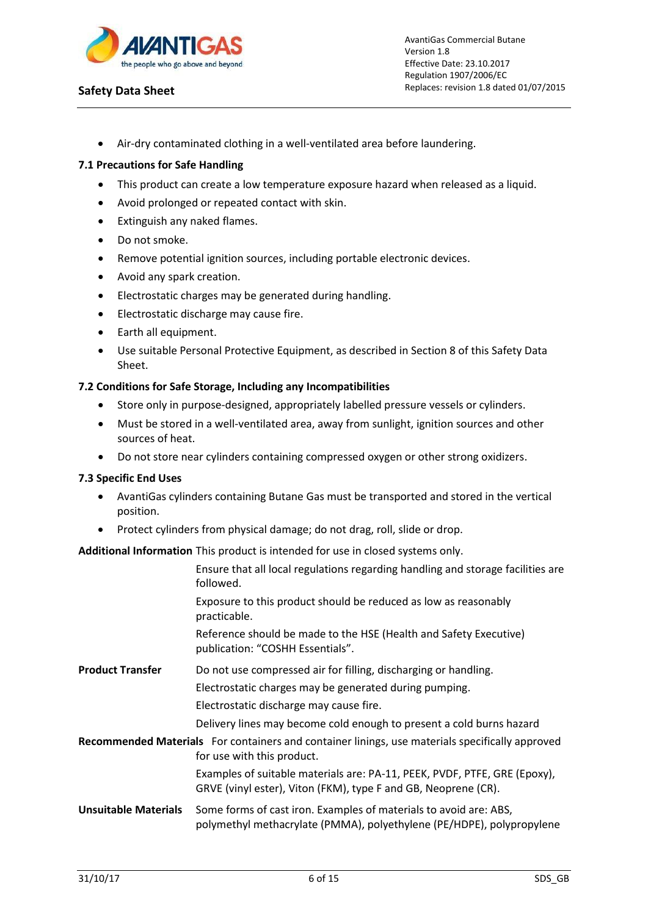

Air-dry contaminated clothing in a well-ventilated area before laundering.

## **7.1 Precautions for Safe Handling**

- This product can create a low temperature exposure hazard when released as a liquid.
- Avoid prolonged or repeated contact with skin.
- Extinguish any naked flames.
- Do not smoke.
- Remove potential ignition sources, including portable electronic devices.
- Avoid any spark creation.
- Electrostatic charges may be generated during handling.
- Electrostatic discharge may cause fire.
- Earth all equipment.
- Use suitable Personal Protective Equipment, as described in Section 8 of this Safety Data Sheet.

## **7.2 Conditions for Safe Storage, Including any Incompatibilities**

- Store only in purpose-designed, appropriately labelled pressure vessels or cylinders.
- Must be stored in a well-ventilated area, away from sunlight, ignition sources and other sources of heat.
- Do not store near cylinders containing compressed oxygen or other strong oxidizers.

## **7.3 Specific End Uses**

- AvantiGas cylinders containing Butane Gas must be transported and stored in the vertical position.
- Protect cylinders from physical damage; do not drag, roll, slide or drop.

## **Additional Information** This product is intended for use in closed systems only.

|                             | Ensure that all local regulations regarding handling and storage facilities are<br>followed.                                                |
|-----------------------------|---------------------------------------------------------------------------------------------------------------------------------------------|
|                             | Exposure to this product should be reduced as low as reasonably<br>practicable.                                                             |
|                             | Reference should be made to the HSE (Health and Safety Executive)<br>publication: "COSHH Essentials".                                       |
| <b>Product Transfer</b>     | Do not use compressed air for filling, discharging or handling.                                                                             |
|                             | Electrostatic charges may be generated during pumping.                                                                                      |
|                             | Electrostatic discharge may cause fire.                                                                                                     |
|                             | Delivery lines may become cold enough to present a cold burns hazard                                                                        |
|                             | Recommended Materials For containers and container linings, use materials specifically approved<br>for use with this product.               |
|                             | Examples of suitable materials are: PA-11, PEEK, PVDF, PTFE, GRE (Epoxy),<br>GRVE (vinyl ester), Viton (FKM), type F and GB, Neoprene (CR). |
| <b>Unsuitable Materials</b> | Some forms of cast iron. Examples of materials to avoid are: ABS,<br>polymethyl methacrylate (PMMA), polyethylene (PE/HDPE), polypropylene  |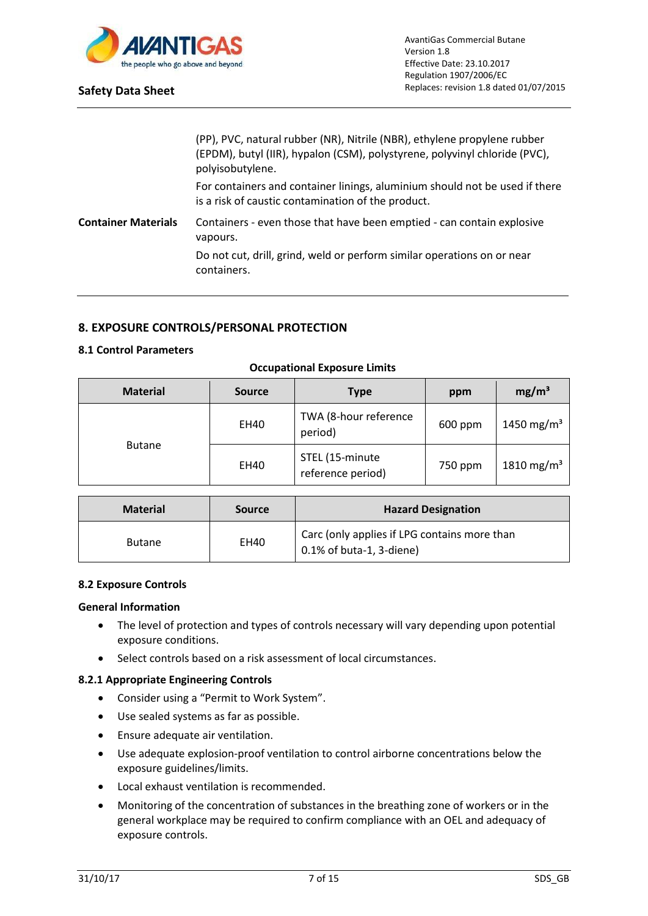

|                            | (PP), PVC, natural rubber (NR), Nitrile (NBR), ethylene propylene rubber<br>(EPDM), butyl (IIR), hypalon (CSM), polystyrene, polyvinyl chloride (PVC),<br>polyisobutylene. |
|----------------------------|----------------------------------------------------------------------------------------------------------------------------------------------------------------------------|
|                            | For containers and container linings, aluminium should not be used if there<br>is a risk of caustic contamination of the product.                                          |
| <b>Container Materials</b> | Containers - even those that have been emptied - can contain explosive<br>vapours.                                                                                         |
|                            | Do not cut, drill, grind, weld or perform similar operations on or near<br>containers.                                                                                     |

## **8. EXPOSURE CONTROLS/PERSONAL PROTECTION**

## **8.1 Control Parameters**

| <b>Material</b> | <b>Source</b> | <b>Type</b>                          | ppm     | mg/m <sup>3</sup>      |
|-----------------|---------------|--------------------------------------|---------|------------------------|
|                 | EH40          | TWA (8-hour reference<br>period)     | 600 ppm | 1450 mg/m <sup>3</sup> |
| <b>Butane</b>   | EH40          | STEL (15-minute<br>reference period) | 750 ppm | 1810 mg/m <sup>3</sup> |

#### **Occupational Exposure Limits**

| <b>Material</b> | <b>Source</b> | <b>Hazard Designation</b>                                                   |
|-----------------|---------------|-----------------------------------------------------------------------------|
| <b>Butane</b>   | EH40          | Carc (only applies if LPG contains more than<br>$0.1\%$ of buta-1, 3-diene) |

## **8.2 Exposure Controls**

#### **General Information**

- The level of protection and types of controls necessary will vary depending upon potential exposure conditions.
- Select controls based on a risk assessment of local circumstances.

# **8.2.1 Appropriate Engineering Controls**

- Consider using a "Permit to Work System".
- Use sealed systems as far as possible.
- Ensure adequate air ventilation.
- Use adequate explosion-proof ventilation to control airborne concentrations below the exposure guidelines/limits.
- Local exhaust ventilation is recommended.
- Monitoring of the concentration of substances in the breathing zone of workers or in the general workplace may be required to confirm compliance with an OEL and adequacy of exposure controls.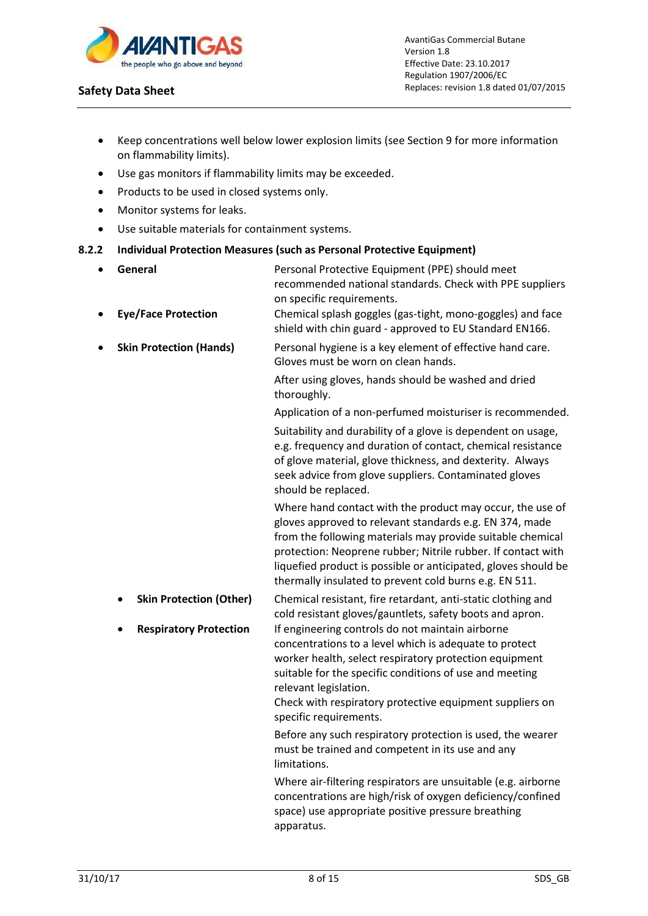

AvantiGas Commercial Butane Version 1.8 Effective Date: 23.10.2017 Regulation 1907/2006/EC Replaces: revision 1.8 dated 01/07/2015

- Keep concentrations well below lower explosion limits (see Section 9 for more information on flammability limits).
- Use gas monitors if flammability limits may be exceeded.
- Products to be used in closed systems only.
- Monitor systems for leaks.
- Use suitable materials for containment systems.

#### **8.2.2 Individual Protection Measures (such as Personal Protective Equipment)**

 **General** Personal Protective Equipment (PPE) should meet recommended national standards. Check with PPE suppliers on specific requirements. **Eye/Face Protection** Chemical splash goggles (gas-tight, mono-goggles) and face shield with chin guard - approved to EU Standard EN166. **Skin Protection (Hands)** Personal hygiene is a key element of effective hand care. Gloves must be worn on clean hands. After using gloves, hands should be washed and dried thoroughly. Application of a non-perfumed moisturiser is recommended. Suitability and durability of a glove is dependent on usage, e.g. frequency and duration of contact, chemical resistance of glove material, glove thickness, and dexterity. Always seek advice from glove suppliers. Contaminated gloves should be replaced. Where hand contact with the product may occur, the use of gloves approved to relevant standards e.g. EN 374, made from the following materials may provide suitable chemical protection: Neoprene rubber; Nitrile rubber. If contact with liquefied product is possible or anticipated, gloves should be thermally insulated to prevent cold burns e.g. EN 511. **Skin Protection (Other)** Chemical resistant, fire retardant, anti-static clothing and cold resistant gloves/gauntlets, safety boots and apron. **Respiratory Protection** If engineering controls do not maintain airborne concentrations to a level which is adequate to protect worker health, select respiratory protection equipment suitable for the specific conditions of use and meeting relevant legislation. Check with respiratory protective equipment suppliers on specific requirements. Before any such respiratory protection is used, the wearer must be trained and competent in its use and any limitations. Where air-filtering respirators are unsuitable (e.g. airborne concentrations are high/risk of oxygen deficiency/confined space) use appropriate positive pressure breathing apparatus.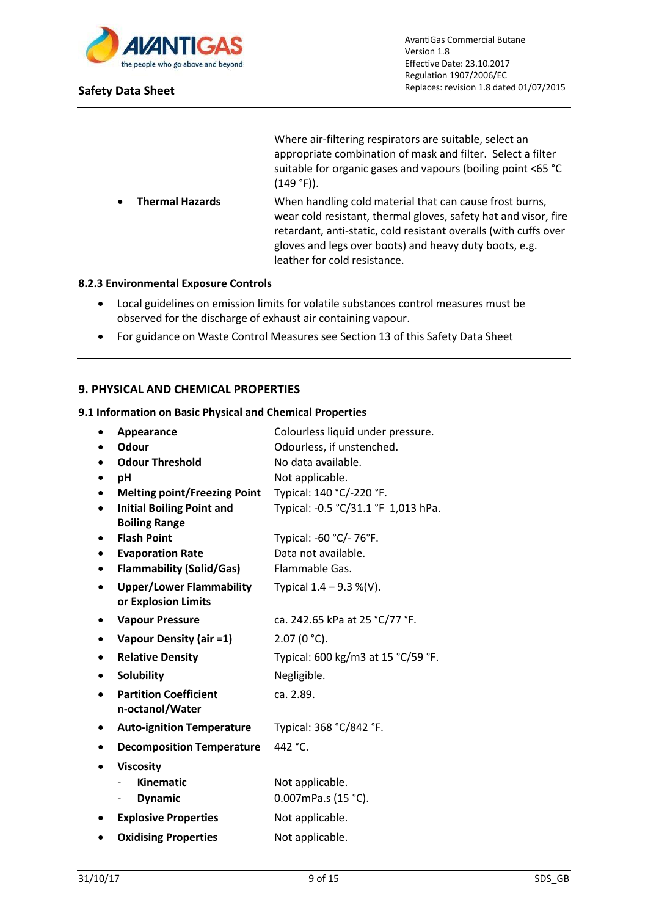

Where air-filtering respirators are suitable, select an appropriate combination of mask and filter. Select a filter suitable for organic gases and vapours (boiling point <65 °C (149 °F)).

 **Thermal Hazards** When handling cold material that can cause frost burns, wear cold resistant, thermal gloves, safety hat and visor, fire retardant, anti-static, cold resistant overalls (with cuffs over gloves and legs over boots) and heavy duty boots, e.g. leather for cold resistance.

## **8.2.3 Environmental Exposure Controls**

- Local guidelines on emission limits for volatile substances control measures must be observed for the discharge of exhaust air containing vapour.
- For guidance on Waste Control Measures see Section 13 of this Safety Data Sheet

## **9. PHYSICAL AND CHEMICAL PROPERTIES**

#### **9.1 Information on Basic Physical and Chemical Properties**

|           | Appearance                          | Colourless liquid under pressure.   |
|-----------|-------------------------------------|-------------------------------------|
|           | Odour                               | Odourless, if unstenched.           |
|           | <b>Odour Threshold</b>              | No data available.                  |
|           | рH                                  | Not applicable.                     |
|           | <b>Melting point/Freezing Point</b> | Typical: 140 °C/-220 °F.            |
|           | <b>Initial Boiling Point and</b>    | Typical: -0.5 °C/31.1 °F 1,013 hPa. |
|           | <b>Boiling Range</b>                |                                     |
|           | <b>Flash Point</b>                  | Typical: -60 °C/- 76°F.             |
|           | <b>Evaporation Rate</b>             | Data not available.                 |
| $\bullet$ | <b>Flammability (Solid/Gas)</b>     | Flammable Gas.                      |
|           | <b>Upper/Lower Flammability</b>     | Typical $1.4 - 9.3$ %(V).           |
|           | or Explosion Limits                 |                                     |
|           | <b>Vapour Pressure</b>              | ca. 242.65 kPa at 25 °C/77 °F.      |
| $\bullet$ | Vapour Density (air =1)             | $2.07(0 °C)$ .                      |
| ٠         | <b>Relative Density</b>             | Typical: 600 kg/m3 at 15 °C/59 °F.  |
|           | <b>Solubility</b>                   | Negligible.                         |
|           | <b>Partition Coefficient</b>        | ca. 2.89.                           |
|           | n-octanol/Water                     |                                     |
|           | <b>Auto-ignition Temperature</b>    | Typical: 368 °C/842 °F.             |
|           | <b>Decomposition Temperature</b>    | 442 °C.                             |
|           | <b>Viscosity</b>                    |                                     |
|           | <b>Kinematic</b>                    | Not applicable.                     |
|           | <b>Dynamic</b>                      | 0.007mPa.s (15 °C).                 |
|           | <b>Explosive Properties</b>         | Not applicable.                     |
|           | <b>Oxidising Properties</b>         | Not applicable.                     |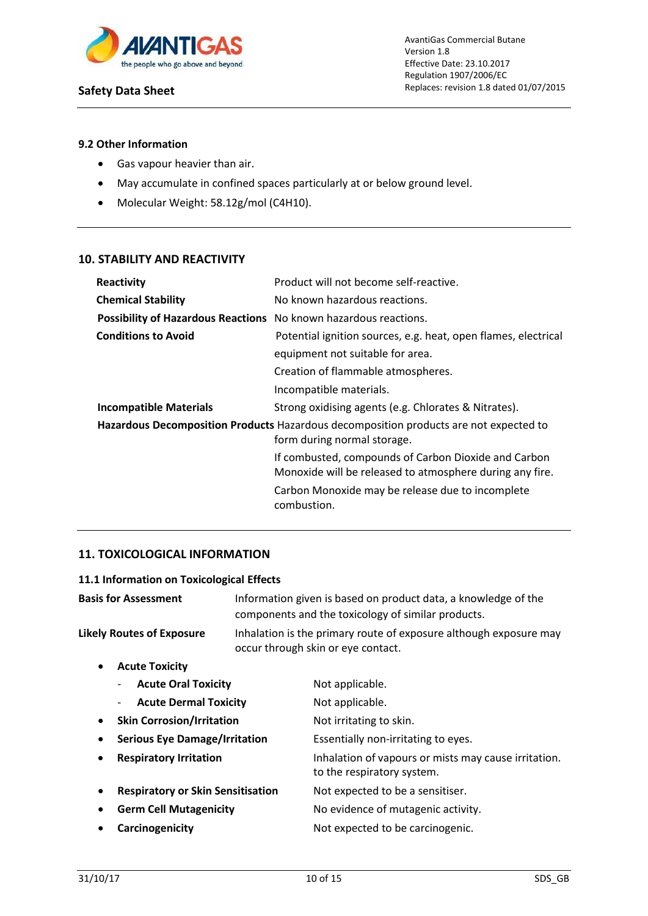

## **9.2 Other Information**

- Gas vapour heavier than air.
- May accumulate in confined spaces particularly at or below ground level.
- Molecular Weight: 58.12g/mol (C4H10).

## **10. STABILITY AND REACTIVITY**

| Reactivity                                                       | Product will not become self-reactive.                                                                               |
|------------------------------------------------------------------|----------------------------------------------------------------------------------------------------------------------|
| <b>Chemical Stability</b>                                        | No known hazardous reactions.                                                                                        |
| Possibility of Hazardous Reactions No known hazardous reactions. |                                                                                                                      |
| <b>Conditions to Avoid</b>                                       | Potential ignition sources, e.g. heat, open flames, electrical                                                       |
|                                                                  | equipment not suitable for area.                                                                                     |
|                                                                  | Creation of flammable atmospheres.                                                                                   |
|                                                                  | Incompatible materials.                                                                                              |
| <b>Incompatible Materials</b>                                    | Strong oxidising agents (e.g. Chlorates & Nitrates).                                                                 |
|                                                                  | Hazardous Decomposition Products Hazardous decomposition products are not expected to<br>form during normal storage. |
|                                                                  | If combusted, compounds of Carbon Dioxide and Carbon<br>Monoxide will be released to atmosphere during any fire.     |
|                                                                  | Carbon Monoxide may be release due to incomplete<br>combustion.                                                      |

# **11. TOXICOLOGICAL INFORMATION**

## **11.1 Information on Toxicological Effects**

| <b>Basis for Assessment</b>                   |                                                                                                         | Information given is based on product data, a knowledge of the<br>components and the toxicology of similar products. |  |
|-----------------------------------------------|---------------------------------------------------------------------------------------------------------|----------------------------------------------------------------------------------------------------------------------|--|
| <b>Likely Routes of Exposure</b>              | Inhalation is the primary route of exposure although exposure may<br>occur through skin or eye contact. |                                                                                                                      |  |
| <b>Acute Toxicity</b><br>$\bullet$            |                                                                                                         |                                                                                                                      |  |
| <b>Acute Oral Toxicity</b>                    |                                                                                                         | Not applicable.                                                                                                      |  |
| <b>Acute Dermal Toxicity</b>                  |                                                                                                         | Not applicable.                                                                                                      |  |
| <b>Skin Corrosion/Irritation</b><br>$\bullet$ |                                                                                                         | Not irritating to skin.                                                                                              |  |
| <b>Serious Eye Damage/Irritation</b>          |                                                                                                         | Essentially non-irritating to eyes.                                                                                  |  |
| <b>Respiratory Irritation</b><br>٠            |                                                                                                         | Inhalation of vapours or mists may cause irritation.<br>to the respiratory system.                                   |  |
| <b>Respiratory or Skin Sensitisation</b>      |                                                                                                         | Not expected to be a sensitiser.                                                                                     |  |
| <b>Germ Cell Mutagenicity</b>                 |                                                                                                         | No evidence of mutagenic activity.                                                                                   |  |
| Carcinogenicity                               |                                                                                                         | Not expected to be carcinogenic.                                                                                     |  |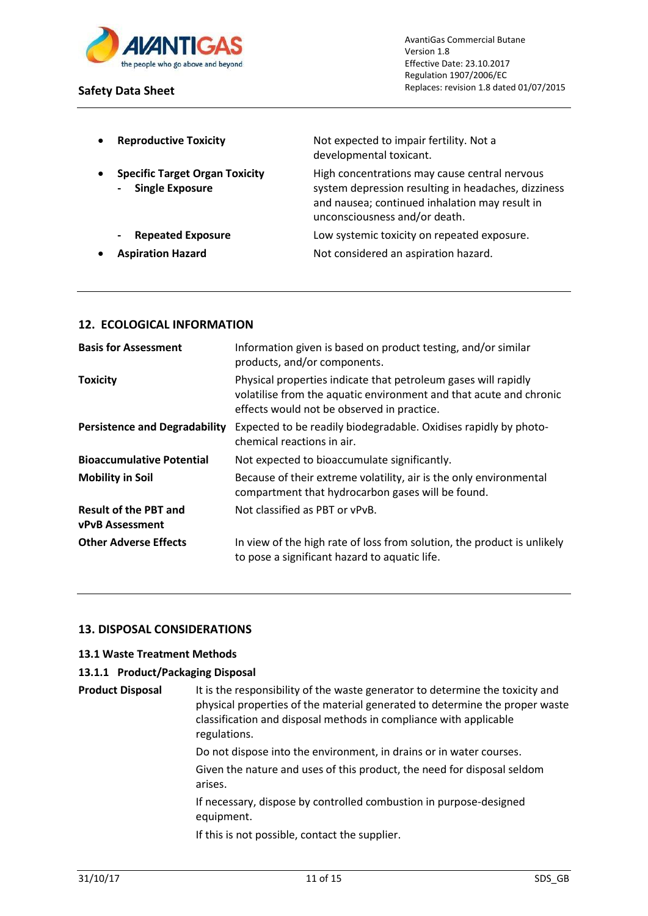

| $\bullet$ | <b>Reproductive Toxicity</b>                                    | Not expected to impair fertility. Not a<br>developmental toxicant.                                                                                                                      |
|-----------|-----------------------------------------------------------------|-----------------------------------------------------------------------------------------------------------------------------------------------------------------------------------------|
| $\bullet$ | <b>Specific Target Organ Toxicity</b><br><b>Single Exposure</b> | High concentrations may cause central nervous<br>system depression resulting in headaches, dizziness<br>and nausea; continued inhalation may result in<br>unconsciousness and/or death. |
|           | <b>Repeated Exposure</b><br>$\hbox{--}$                         | Low systemic toxicity on repeated exposure.                                                                                                                                             |
| $\bullet$ | <b>Aspiration Hazard</b>                                        | Not considered an aspiration hazard.                                                                                                                                                    |

## **12. ECOLOGICAL INFORMATION**

| <b>Basis for Assessment</b>                            | Information given is based on product testing, and/or similar<br>products, and/or components.                                                                                      |
|--------------------------------------------------------|------------------------------------------------------------------------------------------------------------------------------------------------------------------------------------|
| <b>Toxicity</b>                                        | Physical properties indicate that petroleum gases will rapidly<br>volatilise from the aquatic environment and that acute and chronic<br>effects would not be observed in practice. |
| <b>Persistence and Degradability</b>                   | Expected to be readily biodegradable. Oxidises rapidly by photo-<br>chemical reactions in air.                                                                                     |
| <b>Bioaccumulative Potential</b>                       | Not expected to bioaccumulate significantly.                                                                                                                                       |
| <b>Mobility in Soil</b>                                | Because of their extreme volatility, air is the only environmental<br>compartment that hydrocarbon gases will be found.                                                            |
| <b>Result of the PBT and</b><br><b>vPvB Assessment</b> | Not classified as PBT or vPvB.                                                                                                                                                     |
| <b>Other Adverse Effects</b>                           | In view of the high rate of loss from solution, the product is unlikely<br>to pose a significant hazard to aquatic life.                                                           |

## **13. DISPOSAL CONSIDERATIONS**

## **13.1 Waste Treatment Methods**

## **13.1.1 Product/Packaging Disposal**

| <b>Product Disposal</b> | It is the responsibility of the waste generator to determine the toxicity and<br>physical properties of the material generated to determine the proper waste<br>classification and disposal methods in compliance with applicable<br>regulations. |  |
|-------------------------|---------------------------------------------------------------------------------------------------------------------------------------------------------------------------------------------------------------------------------------------------|--|
|                         | Do not dispose into the environment, in drains or in water courses.                                                                                                                                                                               |  |
|                         | Given the nature and uses of this product, the need for disposal seldom<br>arises.                                                                                                                                                                |  |
|                         | If necessary, dispose by controlled combustion in purpose-designed<br>equipment.                                                                                                                                                                  |  |
|                         | If this is not possible, contact the supplier.                                                                                                                                                                                                    |  |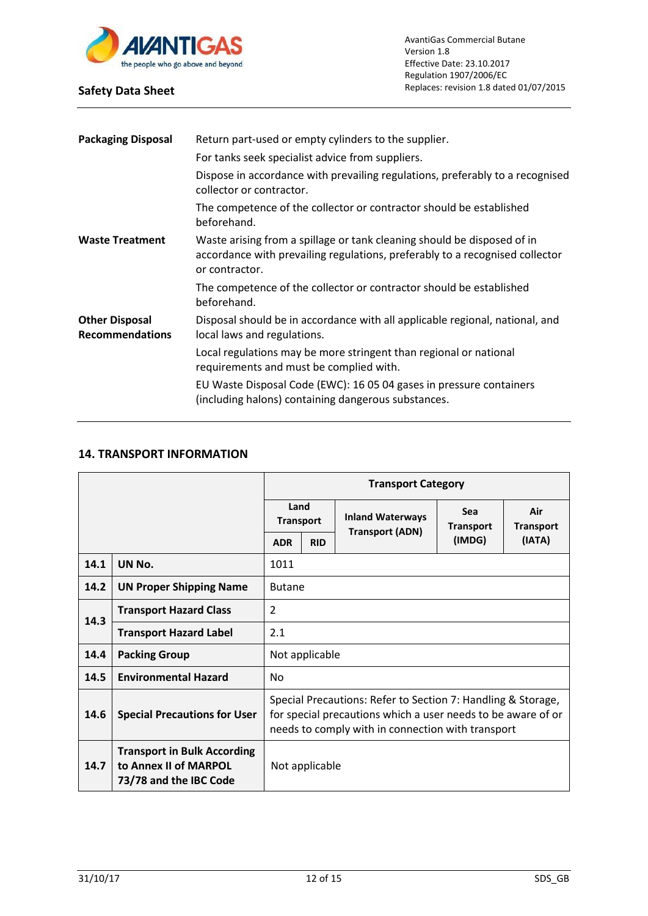

| <b>Packaging Disposal</b>                       | Return part-used or empty cylinders to the supplier.                                                                                                                      |  |  |  |  |
|-------------------------------------------------|---------------------------------------------------------------------------------------------------------------------------------------------------------------------------|--|--|--|--|
|                                                 | For tanks seek specialist advice from suppliers.                                                                                                                          |  |  |  |  |
|                                                 | Dispose in accordance with prevailing regulations, preferably to a recognised<br>collector or contractor.                                                                 |  |  |  |  |
|                                                 | The competence of the collector or contractor should be established<br>beforehand.                                                                                        |  |  |  |  |
| <b>Waste Treatment</b>                          | Waste arising from a spillage or tank cleaning should be disposed of in<br>accordance with prevailing regulations, preferably to a recognised collector<br>or contractor. |  |  |  |  |
|                                                 | The competence of the collector or contractor should be established<br>beforehand.                                                                                        |  |  |  |  |
| <b>Other Disposal</b><br><b>Recommendations</b> | Disposal should be in accordance with all applicable regional, national, and<br>local laws and regulations.                                                               |  |  |  |  |
|                                                 | Local regulations may be more stringent than regional or national<br>requirements and must be complied with.                                                              |  |  |  |  |
|                                                 | EU Waste Disposal Code (EWC): 16 05 04 gases in pressure containers<br>(including halons) containing dangerous substances.                                                |  |  |  |  |
|                                                 |                                                                                                                                                                           |  |  |  |  |

# **14. TRANSPORT INFORMATION**

|      |                                                                                       | <b>Transport Category</b>                                                                                                                                                         |            |                         |                                |                         |
|------|---------------------------------------------------------------------------------------|-----------------------------------------------------------------------------------------------------------------------------------------------------------------------------------|------------|-------------------------|--------------------------------|-------------------------|
|      |                                                                                       | Land<br><b>Transport</b>                                                                                                                                                          |            | <b>Inland Waterways</b> | <b>Sea</b><br><b>Transport</b> | Air<br><b>Transport</b> |
|      |                                                                                       | <b>ADR</b>                                                                                                                                                                        | <b>RID</b> | <b>Transport (ADN)</b>  | (IMDG)                         | (IATA)                  |
| 14.1 | UN No.                                                                                | 1011                                                                                                                                                                              |            |                         |                                |                         |
| 14.2 | <b>UN Proper Shipping Name</b>                                                        | <b>Butane</b>                                                                                                                                                                     |            |                         |                                |                         |
| 14.3 | <b>Transport Hazard Class</b>                                                         | $\overline{2}$                                                                                                                                                                    |            |                         |                                |                         |
|      | <b>Transport Hazard Label</b>                                                         | 2.1                                                                                                                                                                               |            |                         |                                |                         |
| 14.4 | <b>Packing Group</b>                                                                  | Not applicable                                                                                                                                                                    |            |                         |                                |                         |
| 14.5 | <b>Environmental Hazard</b>                                                           | No                                                                                                                                                                                |            |                         |                                |                         |
| 14.6 | <b>Special Precautions for User</b>                                                   | Special Precautions: Refer to Section 7: Handling & Storage,<br>for special precautions which a user needs to be aware of or<br>needs to comply with in connection with transport |            |                         |                                |                         |
| 14.7 | <b>Transport in Bulk According</b><br>to Annex II of MARPOL<br>73/78 and the IBC Code | Not applicable                                                                                                                                                                    |            |                         |                                |                         |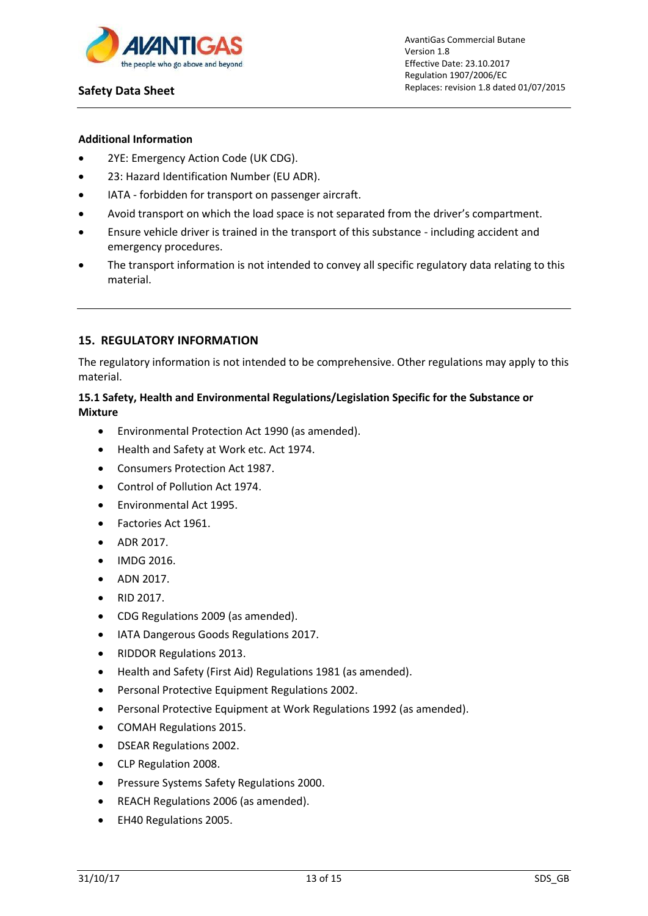

## **Additional Information**

- 2YE: Emergency Action Code (UK CDG).
- 23: Hazard Identification Number (EU ADR).
- IATA forbidden for transport on passenger aircraft.
- Avoid transport on which the load space is not separated from the driver's compartment.
- Ensure vehicle driver is trained in the transport of this substance including accident and emergency procedures.
- The transport information is not intended to convey all specific regulatory data relating to this material.

## **15. REGULATORY INFORMATION**

The regulatory information is not intended to be comprehensive. Other regulations may apply to this material.

## **15.1 Safety, Health and Environmental Regulations/Legislation Specific for the Substance or Mixture**

- Environmental Protection Act 1990 (as amended).
- Health and Safety at Work etc. Act 1974.
- Consumers Protection Act 1987.
- Control of Pollution Act 1974.
- Environmental Act 1995.
- Factories Act 1961.
- $\bullet$  ADR 2017.
- IMDG 2016.
- $\bullet$  ADN 2017.
- RID 2017.
- CDG Regulations 2009 (as amended).
- IATA Dangerous Goods Regulations 2017.
- RIDDOR Regulations 2013.
- Health and Safety (First Aid) Regulations 1981 (as amended).
- Personal Protective Equipment Regulations 2002.
- Personal Protective Equipment at Work Regulations 1992 (as amended).
- COMAH Regulations 2015.
- DSEAR Regulations 2002.
- CLP Regulation 2008.
- Pressure Systems Safety Regulations 2000.
- REACH Regulations 2006 (as amended).
- EH40 Regulations 2005.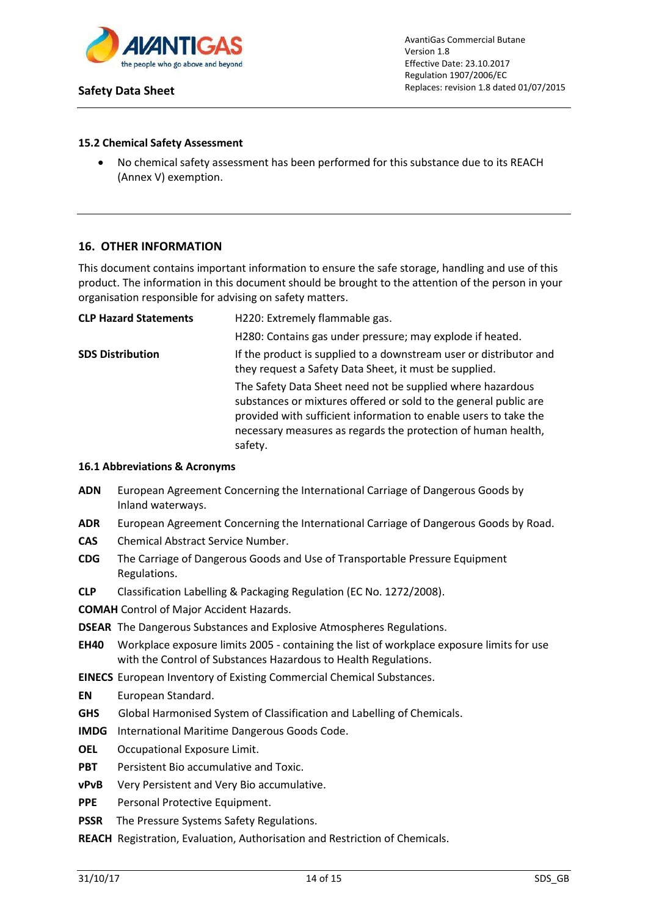

AvantiGas Commercial Butane Version 1.8 Effective Date: 23.10.2017 Regulation 1907/2006/EC Replaces: revision 1.8 dated 01/07/2015

### **15.2 Chemical Safety Assessment**

 No chemical safety assessment has been performed for this substance due to its REACH (Annex V) exemption.

## **16. OTHER INFORMATION**

This document contains important information to ensure the safe storage, handling and use of this product. The information in this document should be brought to the attention of the person in your organisation responsible for advising on safety matters.

| <b>CLP Hazard Statements</b> | H220: Extremely flammable gas.                                                                                                                                                                                                                                                 |  |  |
|------------------------------|--------------------------------------------------------------------------------------------------------------------------------------------------------------------------------------------------------------------------------------------------------------------------------|--|--|
|                              | H280: Contains gas under pressure; may explode if heated.                                                                                                                                                                                                                      |  |  |
| <b>SDS Distribution</b>      | If the product is supplied to a downstream user or distributor and<br>they request a Safety Data Sheet, it must be supplied.                                                                                                                                                   |  |  |
|                              | The Safety Data Sheet need not be supplied where hazardous<br>substances or mixtures offered or sold to the general public are<br>provided with sufficient information to enable users to take the<br>necessary measures as regards the protection of human health,<br>safety. |  |  |

#### **16.1 Abbreviations & Acronyms**

- **ADN** European Agreement Concerning the International Carriage of Dangerous Goods by Inland waterways.
- **ADR** European Agreement Concerning the International Carriage of Dangerous Goods by Road.
- **CAS** Chemical Abstract Service Number.
- **CDG** The Carriage of Dangerous Goods and Use of Transportable Pressure Equipment Regulations.
- **CLP** Classification Labelling & Packaging Regulation (EC No. 1272/2008).

**COMAH** Control of Major Accident Hazards.

- **DSEAR** The Dangerous Substances and Explosive Atmospheres Regulations.
- **EH40** Workplace exposure limits 2005 containing the list of workplace exposure limits for use with the Control of Substances Hazardous to Health Regulations.
- **EINECS** European Inventory of Existing Commercial Chemical Substances.
- **EN** European Standard.
- **GHS** Global Harmonised System of Classification and Labelling of Chemicals.
- **IMDG** International Maritime Dangerous Goods Code.
- **OEL** Occupational Exposure Limit.
- **PBT** Persistent Bio accumulative and Toxic.
- **vPvB** Very Persistent and Very Bio accumulative.
- **PPE** Personal Protective Equipment.
- **PSSR** The Pressure Systems Safety Regulations.
- **REACH** Registration, Evaluation, Authorisation and Restriction of Chemicals.